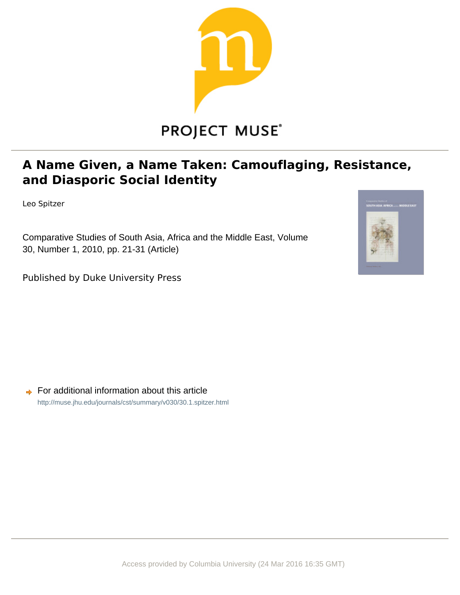

# **PROJECT MUSE®**

# A Name Given, a Name Taken: Camouflaging, Resistance, and Diasporic Social Identity

Leo Spitzer

Comparative Studies of South Asia, Africa and the Middle East, Volume 30, Number 1, 2010, pp. 21-31 (Article)

Published by Duke University Press



 $\rightarrow$  For additional information about this article <http://muse.jhu.edu/journals/cst/summary/v030/30.1.spitzer.html>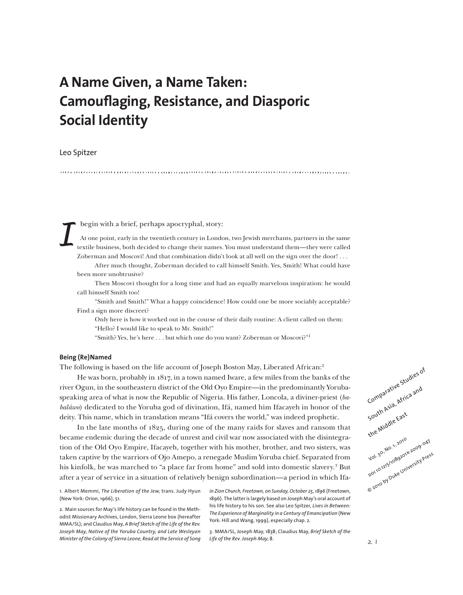# **A Name Given, a Name Taken: Camouflaging, Resistance, and Diasporic Social Identity**

# Leo Spitzer

begin with a brief, perhaps apocryphal, story:

At one point, early in the twentieth century in London, two Jewish merchants, partners in the same textile business, both decided to change their names. You must understand them—they were called Zoberman and Moscovi! And that combination didn't look at all well on the sign over the door! . . .

After much thought, Zoberman decided to call himself Smith. Yes, Smith! What could have been more unobtrusive?

Then Moscovi thought for a long time and had an equally marvelous inspiration: he would call himself Smith too!

"Smith and Smith!" What a happy coincidence! How could one be more sociably acceptable? Find a sign more discreet?

Only here is how it worked out in the course of their daily routine: A client called on them: "Hello? I would like to speak to Mr. Smith!"

"Smith? Yes, he's here . . . but which one do you want? Zoberman or Moscovi?"1

# **Being (Re)Named**

The following is based on the life account of Joseph Boston May, Liberated African:2

He was born, probably in 1817, in a town named Iware, a few miles from the banks of the river Ogun, in the southeastern district of the Old Oyo Empire—in the predominantly Yorubaspeaking area of what is now the Republic of Nigeria. His father, Loncola, a diviner-priest (*babaláwo*) dedicated to the Yoruba god of divination, Ifá, named him Ifacayeh in honor of the deity. This name, which in translation means "Ifá covers the world," was indeed prophetic.

In the late months of 1825, during one of the many raids for slaves and ransom that became endemic during the decade of unrest and civil war now associated with the disintegration of the Old Oyo Empire, Ifacayeh, together with his mother, brother, and two sisters, was taken captive by the warriors of Ojo Amepo, a renegade Muslim Yoruba chief. Separated from his kinfolk, he was marched to "a place far from home" and sold into domestic slavery.3 But after a year of service in a situation of relatively benign subordination—a period in which Ifa-

1. Albert Memmi, *The Liberation of the Jew*, trans. Judy Hyun (New York: Orion, 1966), 51.

2. Main sources for May's life history can be found in the Methodist Missionary Archives, London, Sierra Leone box (hereafter MMA/SL); and Claudius May, *A Brief Sketch of the Life of the Rev. Joseph May, Native of the Yoruba Country, and Late Wesleyan Minister of the Colony of Sierra Leone, Read at the Service of Song*  *in Zion Church, Freetown, on Sunday, October 25, 1896* (Freetown, 1896). The latteris largely based on Joseph May's oral account of his life history to his son. See also Leo Spitzer, *Lives in Between: The Experience of Marginality in a Century of Emancipation* (New York: Hill and Wang, 1999), especially chap. 2.

3. MMA/SL, Joseph May, 1838; Claudius May, *Brief Sketch of the Life of the Rev. Joseph May*, 8.

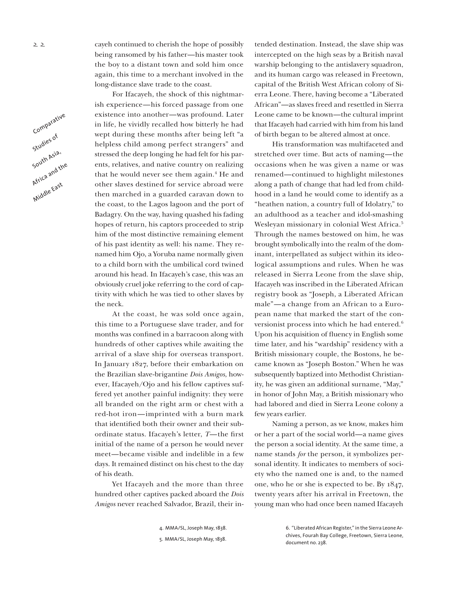cayeh continued to cherish the hope of possibly being ransomed by his father—his master took the boy to a distant town and sold him once again, this time to a merchant involved in the long-distance slave trade to the coast.

For Ifacayeh, the shock of this nightmarish experience—his forced passage from one existence into another—was profound. Later in life, he vividly recalled how bitterly he had wept during these months after being left "a helpless child among perfect strangers" and stressed the deep longing he had felt for his parents, relatives, and native country on realizing that he would never see them again.<sup>4</sup> He and other slaves destined for service abroad were then marched in a guarded caravan down to the coast, to the Lagos lagoon and the port of Badagry. On the way, having quashed his fading hopes of return, his captors proceeded to strip him of the most distinctive remaining element of his past identity as well: his name. They renamed him Ojo, a Yoruba name normally given to a child born with the umbilical cord twined around his head. In Ifacayeh's case, this was an obviously cruel joke referring to the cord of captivity with which he was tied to other slaves by the neck.

At the coast, he was sold once again, this time to a Portuguese slave trader, and for months was confined in a barracoon along with hundreds of other captives while awaiting the arrival of a slave ship for overseas transport. In January 1827, before their embarkation on the Brazilian slave-brigantine *Dois Amigos*, however, Ifacayeh/Ojo and his fellow captives suffered yet another painful indignity: they were all branded on the right arm or chest with a red-hot iron—imprinted with a burn mark that identified both their owner and their subordinate status. Ifacayeh's letter, *T*—the first initial of the name of a person he would never meet—became visible and indelible in a few days. It remained distinct on his chest to the day of his death.

Yet Ifacayeh and the more than three hundred other captives packed aboard the *Dois Amigos* never reached Salvador, Brazil, their intended destination. Instead, the slave ship was intercepted on the high seas by a British naval warship belonging to the antislavery squadron, and its human cargo was released in Freetown, capital of the British West African colony of Sierra Leone. There, having become a "Liberated African"—as slaves freed and resettled in Sierra Leone came to be known—the cultural imprint that Ifacayeh had carried with him from his land of birth began to be altered almost at once.

His transformation was multifaceted and stretched over time. But acts of naming—the occasions when he was given a name or was renamed—continued to highlight milestones along a path of change that had led from childhood in a land he would come to identify as a "heathen nation, a country full of Idolatry," to an adulthood as a teacher and idol-smashing Wesleyan missionary in colonial West Africa.<sup>5</sup> Through the names bestowed on him, he was brought symbolically into the realm of the dominant, interpellated as subject within its ideological assumptions and rules. When he was released in Sierra Leone from the slave ship, Ifacayeh was inscribed in the Liberated African registry book as "Joseph, a Liberated African male"—a change from an African to a European name that marked the start of the conversionist process into which he had entered.<sup>6</sup> Upon his acquisition of fluency in English some time later, and his "wardship" residency with a British missionary couple, the Bostons, he became known as "Joseph Boston." When he was subsequently baptized into Methodist Christianity, he was given an additional surname, "May," in honor of John May, a British missionary who had labored and died in Sierra Leone colony a few years earlier.

Naming a person, as we know, makes him or her a part of the social world—a name gives the person a social identity. At the same time, a name stands *for* the person, it symbolizes personal identity. It indicates to members of society who the named one is and, to the named one, who he or she is expected to be. By 1847, twenty years after his arrival in Freetown, the young man who had once been named Ifacayeh

6. "Liberated African Register," in the Sierra Leone Archives, Fourah Bay College, Freetown, Sierra Leone, document no. 238.

 $22$ 

Comparative

Studies of

South Asia,

Africa and the

Middle East

<sup>5.</sup> MMA/SL, Joseph May, 1838.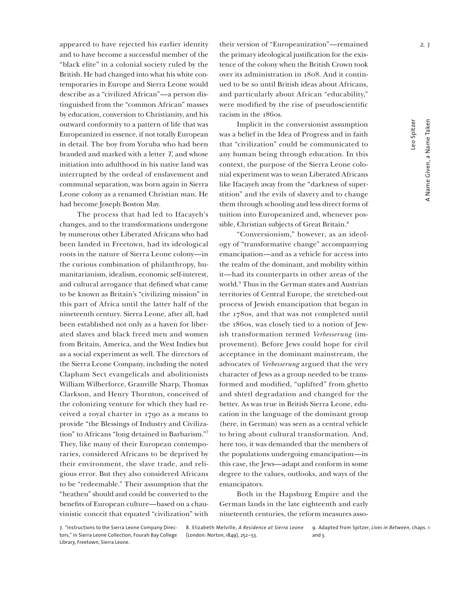appeared to have rejected his earlier identity and to have become a successful member of the "black elite" in a colonial society ruled by the British. He had changed into what his white contemporaries in Europe and Sierra Leone would describe as a "civilized African"—a person distinguished from the "common African" masses by education, conversion to Christianity, and his outward conformity to a pattern of life that was Europeanized in essence, if not totally European in detail. The boy from Yoruba who had been branded and marked with a letter *T*, and whose initiation into adulthood in his native land was interrupted by the ordeal of enslavement and communal separation, was born again in Sierra Leone colony as a renamed Christian man. He had become Joseph Boston May.

The process that had led to Ifacayeh's changes, and to the transformations undergone by numerous other Liberated Africans who had been landed in Freetown, had its ideological roots in the nature of Sierra Leone colony—in the curious combination of philanthropy, humanitarianism, idealism, economic self-interest, and cultural arrogance that defined what came to be known as Britain's "civilizing mission" in this part of Africa until the latter half of the nineteenth century. Sierra Leone, after all, had been established not only as a haven for liberated slaves and black freed men and women from Britain, America, and the West Indies but as a social experiment as well. The directors of the Sierra Leone Company, including the noted Clapham Sect evangelicals and abolitionists William Wilberforce, Granville Sharp, Thomas Clarkson, and Henry Thornton, conceived of the colonizing venture for which they had received a royal charter in 1790 as a means to provide "the Blessings of Industry and Civilization" to Africans "long detained in Barbarism."7 They, like many of their European contemporaries, considered Africans to be deprived by their environment, the slave trade, and religious error. But they also considered Africans to be "redeemable." Their assumption that the "heathen" should and could be converted to the benefits of European culture—based on a chauvinistic conceit that equated "civilization" with their version of "Europeanization"—remained the primary ideological justification for the existence of the colony when the British Crown took over its administration in 1808. And it continued to be so until British ideas about Africans, and particularly about African "educability," were modified by the rise of pseudoscientific racism in the 1860s.

Implicit in the conversionist assumption was a belief in the Idea of Progress and in faith that "civilization" could be communicated to any human being through education. In this context, the purpose of the Sierra Leone colonial experiment was to wean Liberated Africans like Ifacayeh away from the "darkness of superstition" and the evils of slavery and to change them through schooling and less direct forms of tuition into Europeanized and, whenever possible, Christian subjects of Great Britain.<sup>8</sup>

"Conversionism," however, as an ideology of "transformative change" accompanying emancipation—and as a vehicle for access into the realm of the dominant, and mobility within it—had its counterparts in other areas of the world.9 Thus in the German states and Austrian territories of Central Europe, the stretched-out process of Jewish emancipation that began in the 1780s, and that was not completed until the 1860s, was closely tied to a notion of Jewish transformation termed *Verbesserung* (improvement). Before Jews could hope for civil acceptance in the dominant mainstream, the advocates of *Verbesserung* argued that the very character of Jews as a group needed to be transformed and modified, "uplifted" from ghetto and shtetl degradation and changed for the better. As was true in British Sierra Leone, education in the language of the dominant group (here, in German) was seen as a central vehicle to bring about cultural transformation. And, here too, it was demanded that the members of the populations undergoing emancipation—in this case, the Jews—adapt and conform in some degree to the values, outlooks, and ways of the emancipators.

Both in the Hapsburg Empire and the German lands in the late eighteenth and early nineteenth centuries, the reform measures asso-

7. "Instructions to the Sierra Leone Company Directors," in Sierra Leone Collection, Fourah Bay College Library, Freetown, Sierra Leone.

8. Elizabeth Melville, *A Residence at Sierra Leone* (London: Norton, 1849), 252-53.

9. Adapted from Spitzer, *Lives in Between*, chaps. 1 and 3.

Leo Spitzer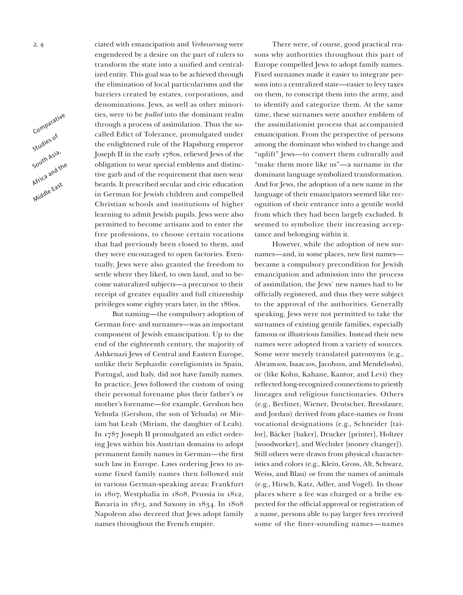Comparative Studies of South Asia, Africa and the Middle East

2 4

ciated with emancipation and *Verbesserung* were engendered by a desire on the part of rulers to transform the state into a unified and centralized entity. This goal was to be achieved through the elimination of local particularisms and the barriers created by estates, corporations, and denominations. Jews, as well as other minorities, were to be *pulled* into the dominant realm through a process of assimilation. Thus the socalled Edict of Tolerance, promulgated under the enlightened rule of the Hapsburg emperor Joseph II in the early 1780s, relieved Jews of the obligation to wear special emblems and distinctive garb and of the requirement that men wear beards. It prescribed secular and civic education in German for Jewish children and compelled Christian schools and institutions of higher learning to admit Jewish pupils. Jews were also permitted to become artisans and to enter the free professions, to choose certain vocations that had previously been closed to them, and they were encouraged to open factories. Eventually, Jews were also granted the freedom to settle where they liked, to own land, and to become naturalized subjects—a precursor to their receipt of greater equality and full citizenship privileges some eighty years later, in the 1860s.

But naming—the compulsory adoption of German fore- and surnames—was an important component of Jewish emancipation. Up to the end of the eighteenth century, the majority of Ashkenazi Jews of Central and Eastern Europe, unlike their Sephardic coreligionists in Spain, Portugal, and Italy, did not have family names. In practice, Jews followed the custom of using their personal forename plus their father's or mother's forename—for example, Gershon ben Yehuda (Gershon, the son of Yehuda) or Miriam bat Leah (Miriam, the daughter of Leah). In 1787 Joseph II promulgated an edict ordering Jews within his Austrian domains to adopt permanent family names in German—the first such law in Europe. Laws ordering Jews to assume fixed family names then followed suit in various German-speaking areas: Frankfurt in 1807, Westphalia in 1808, Prussia in 1812, Bavaria in 1813, and Saxony in 1834. In 1808 Napoleon also decreed that Jews adopt family names throughout the French empire.

There were, of course, good practical reasons why authorities throughout this part of Europe compelled Jews to adopt family names. Fixed surnames made it easier to integrate persons into a centralized state—easier to levy taxes on them, to conscript them into the army, and to identify and categorize them. At the same time, these surnames were another emblem of the assimilationist process that accompanied emancipation. From the perspective of persons among the dominant who wished to change and "uplift" Jews—to convert them culturally and "make them more like us"—a surname in the dominant language symbolized transformation. And for Jews, the adoption of a new name in the language of their emancipators seemed like recognition of their entrance into a gentile world from which they had been largely excluded. It seemed to symbolize their increasing acceptance and belonging within it.

However, while the adoption of new surnames—and, in some places, new first names became a compulsory precondition for Jewish emancipation and admission into the process of assimilation, the Jews' new names had to be officially registered, and thus they were subject to the approval of the authorities. Generally speaking, Jews were not permitted to take the surnames of existing gentile families, especially famous or illustrious families. Instead their new names were adopted from a variety of sources. Some were merely translated patronyms (e.g., Abram*son*, Isaac*son*, Jacob*son*, and Mendel*sohn*), or (like Kohn, Kahane, Kantor, and Levi) they reflected long-recognized connections to priestly lineages and religious functionaries. Others (e.g., Berliner, Wiener, Deutscher, Bresslauer, and Jordan) derived from place-names or from vocational designations (e.g., Schneider [tailor], Bäcker [baker], Drucker [printer], Holtzer [woodworker], and Wechsler [money changer]). Still others were drawn from physical characteristics and colors (e.g., Klein, Gross, Alt, Schwarz, Weiss, and Blau) or from the names of animals (e.g., Hirsch, Katz, Adler, and Vogel). In those places where a fee was charged or a bribe expected for the official approval or registration of a name, persons able to pay larger fees received some of the finer-sounding names—names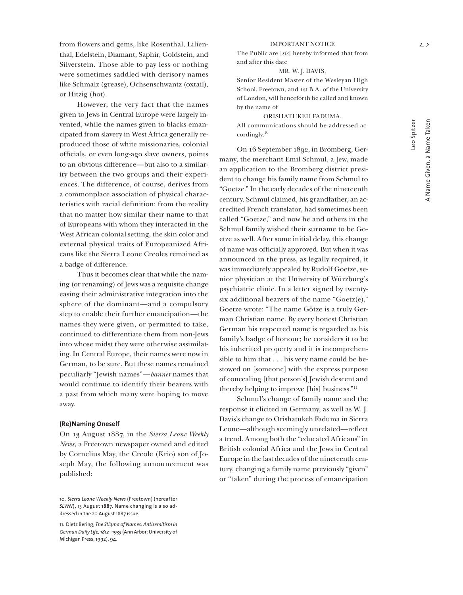from flowers and gems, like Rosenthal, Lilienthal, Edelstein, Diamant, Saphir, Goldstein, and Silverstein. Those able to pay less or nothing were sometimes saddled with derisory names like Schmalz (grease), Ochsenschwantz (oxtail), or Hitzig (hot).

However, the very fact that the names given to Jews in Central Europe were largely invented, while the names given to blacks emancipated from slavery in West Africa generally reproduced those of white missionaries, colonial officials, or even long-ago slave owners, points to an obvious difference—but also to a similarity between the two groups and their experiences. The difference, of course, derives from a commonplace association of physical characteristics with racial definition: from the reality that no matter how similar their name to that of Europeans with whom they interacted in the West African colonial setting, the skin color and external physical traits of Europeanized Africans like the Sierra Leone Creoles remained as a badge of difference.

Thus it becomes clear that while the naming (or renaming) of Jews was a requisite change easing their administrative integration into the sphere of the dominant—and a compulsory step to enable their further emancipation—the names they were given, or permitted to take, continued to differentiate them from non-Jews into whose midst they were otherwise assimilating. In Central Europe, their names were now in German, to be sure. But these names remained peculiarly "Jewish names"—*banner* names that would continue to identify their bearers with a past from which many were hoping to move away.

#### **(Re)Naming Oneself**

On 13 August 1887, in the *Sierra Leone Weekly News*, a Freetown newspaper owned and edited by Cornelius May, the Creole (Krio) son of Joseph May, the following announcement was published:

## IMPORTANT NOTICE

The Public are [*sic*] hereby informed that from and after this date

#### MR. W. J. DAVIS,

Senior Resident Master of the Wesleyan High School, Freetown, and 1st B.A. of the University of London, will henceforth be called and known by the name of

### ORISHATUKEH FADUMA.

All communications should be addressed accordingly.10

On 16 September 1892, in Bromberg, Germany, the merchant Emil Schmul, a Jew, made an application to the Bromberg district president to change his family name from Schmul to "Goetze." In the early decades of the nineteenth century, Schmul claimed, his grandfather, an accredited French translator, had sometimes been called "Goetze," and now he and others in the Schmul family wished their surname to be Goetze as well. After some initial delay, this change of name was officially approved. But when it was announced in the press, as legally required, it was immediately appealed by Rudolf Goetze, senior physician at the University of Würzburg's psychiatric clinic. In a letter signed by twentysix additional bearers of the name "Goetz(e)," Goetze wrote: "The name Götze is a truly German Christian name. By every honest Christian German his respected name is regarded as his family's badge of honour; he considers it to be his inherited property and it is incomprehensible to him that . . . his very name could be bestowed on [someone] with the express purpose of concealing [that person's] Jewish descent and thereby helping to improve [his] business."11

Schmul's change of family name and the response it elicited in Germany, as well as W. J. Davis's change to Orishatukeh Faduma in Sierra Leone—although seemingly unrelated—reflect a trend. Among both the "educated Africans" in British colonial Africa and the Jews in Central Europe in the last decades of the nineteenth century, changing a family name previously "given" or "taken" during the process of emancipation

Leo Spitzer

<sup>10.</sup> *Sierra Leone Weekly News* (Freetown) (hereafter *SLWN*), 13 August 1887. Name changing is also addressed in the 20 August 1887 issue.

<sup>11.</sup> Dietz Bering, *The Stigma of Names: Antisemitism in German Daily Life, 1812  –  1933* (Ann Arbor:University of Michigan Press, 1992), 94.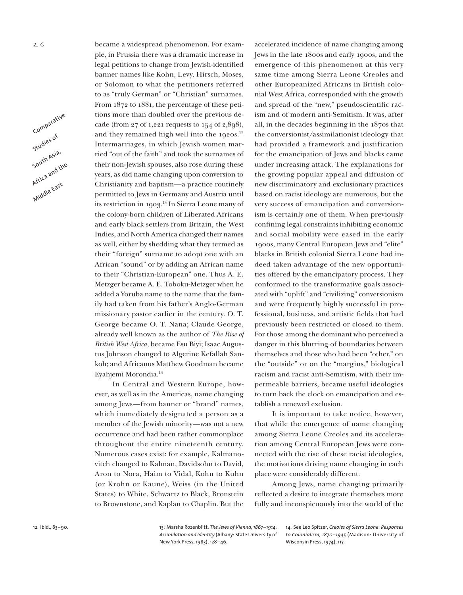Comparative Studies of South Asia, Africa and the Middle East

2 6

became a widespread phenomenon. For example, in Prussia there was a dramatic increase in legal petitions to change from Jewish-identified banner names like Kohn, Levy, Hirsch, Moses, or Solomon to what the petitioners referred to as "truly German" or "Christian" surnames. From 1872 to 1881, the percentage of these petitions more than doubled over the previous decade (from 27 of 1,221 requests to 154 of 2,898), and they remained high well into the  $1920s$ .<sup>12</sup> Intermarriages, in which Jewish women married "out of the faith" and took the surnames of their non-Jewish spouses, also rose during these years, as did name changing upon conversion to Christianity and baptism—a practice routinely permitted to Jews in Germany and Austria until its restriction in 1903.13 In Sierra Leone many of the colony-born children of Liberated Africans and early black settlers from Britain, the West Indies, and North America changed their names as well, either by shedding what they termed as their "foreign" surname to adopt one with an African "sound" or by adding an African name to their "Christian-European" one. Thus A. E. Metzger became A. E. Toboku-Metzger when he added a Yoruba name to the name that the family had taken from his father's Anglo-German missionary pastor earlier in the century. O. T. George became O. T. Nana; Claude George, already well known as the author of *The Rise of British West Africa*, became Esu Biyi; Isaac Augustus Johnson changed to Algerine Kefallah Sankoh; and Africanus Matthew Goodman became Eyahjemi Morondia.14

In Central and Western Europe, however, as well as in the Americas, name changing among Jews—from banner or "brand" names, which immediately designated a person as a member of the Jewish minority—was not a new occurrence and had been rather commonplace throughout the entire nineteenth century. Numerous cases exist: for example, Kalmanovitch changed to Kalman, Davidsohn to David, Aron to Nora, Haim to Vidal, Kohn to Kuhn (or Krohn or Kaune), Weiss (in the United States) to White, Schwartz to Black, Bronstein to Brownstone, and Kaplan to Chaplin. But the

accelerated incidence of name changing among Jews in the late 1800s and early 1900s, and the emergence of this phenomenon at this very same time among Sierra Leone Creoles and other Europeanized Africans in British colonial West Africa, corresponded with the growth and spread of the "new," pseudoscientific racism and of modern anti-Semitism. It was, after all, in the decades beginning in the 1870s that the conversionist/assimilationist ideology that had provided a framework and justification for the emancipation of Jews and blacks came under increasing attack. The explanations for the growing popular appeal and diffusion of new discriminatory and exclusionary practices based on racist ideology are numerous, but the very success of emancipation and conversionism is certainly one of them. When previously confining legal constraints inhibiting economic and social mobility were eased in the early 1900s, many Central European Jews and "elite" blacks in British colonial Sierra Leone had indeed taken advantage of the new opportunities offered by the emancipatory process. They conformed to the transformative goals associated with "uplift" and "civilizing" conversionism and were frequently highly successful in professional, business, and artistic fields that had previously been restricted or closed to them. For those among the dominant who perceived a danger in this blurring of boundaries between themselves and those who had been "other," on the "outside" or on the "margins," biological racism and racist anti-Semitism, with their impermeable barriers, became useful ideologies to turn back the clock on emancipation and establish a renewed exclusion.

It is important to take notice, however, that while the emergence of name changing among Sierra Leone Creoles and its acceleration among Central European Jews were connected with the rise of these racist ideologies, the motivations driving name changing in each place were considerably different.

Among Jews, name changing primarily reflected a desire to integrate themselves more fully and inconspicuously into the world of the

12. Ibid., 83  –  90. 13. Marsha Rozenblitt, *The Jews of Vienna, 1867  –  1914: Assimilation and Identity* (Albany: State University of New York Press, 1983), 128-46.

14. See Leo Spitzer, *Creoles of Sierra Leone: Responses to Colonialism, 1870–1945* (Madison: University of Wisconsin Press, 1974), 117.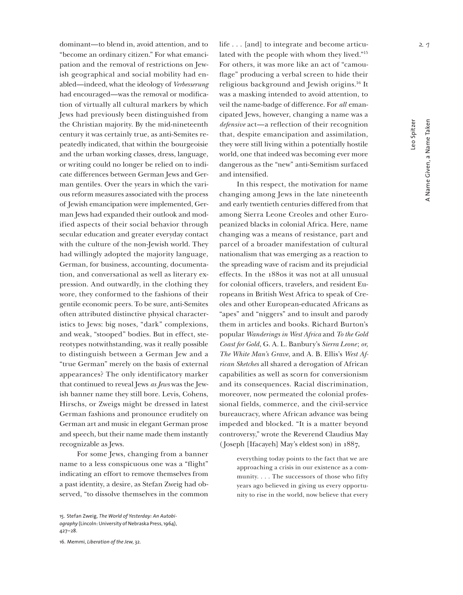dominant—to blend in, avoid attention, and to "become an ordinary citizen." For what emancipation and the removal of restrictions on Jewish geographical and social mobility had enabled—indeed, what the ideology of *Verbesserung* had encouraged—was the removal or modification of virtually all cultural markers by which Jews had previously been distinguished from the Christian majority. By the mid-nineteenth century it was certainly true, as anti-Semites repeatedly indicated, that within the bourgeoisie and the urban working classes, dress, language, or writing could no longer be relied on to indicate differences between German Jews and German gentiles. Over the years in which the various reform measures associated with the process of Jewish emancipation were implemented, German Jews had expanded their outlook and modified aspects of their social behavior through secular education and greater everyday contact with the culture of the non-Jewish world. They had willingly adopted the majority language, German, for business, accounting, documentation, and conversational as well as literary expression. And outwardly, in the clothing they wore, they conformed to the fashions of their gentile economic peers. To be sure, anti-Semites often attributed distinctive physical characteristics to Jews: big noses, "dark" complexions, and weak, "stooped" bodies. But in effect, stereotypes notwithstanding, was it really possible to distinguish between a German Jew and a "true German" merely on the basis of external appearances? The only identificatory marker that continued to reveal Jews *as Jews* was the Jewish banner name they still bore. Levis, Cohens, Hirschs, or Zweigs might be dressed in latest German fashions and pronounce eruditely on German art and music in elegant German prose and speech, but their name made them instantly recognizable as Jews.

For some Jews, changing from a banner name to a less conspicuous one was a "flight" indicating an effort to remove themselves from a past identity, a desire, as Stefan Zweig had observed, "to dissolve themselves in the common

16. Memmi, *Liberation of the Jew*, 32.

life . . . [and] to integrate and become articulated with the people with whom they lived."15 For others, it was more like an act of "camouflage" producing a verbal screen to hide their religious background and Jewish origins.16 It was a masking intended to avoid attention, to veil the name-badge of difference. For *all* emancipated Jews, however, changing a name was a *defensive* act—a reflection of their recognition that, despite emancipation and assimilation, they were still living within a potentially hostile world, one that indeed was becoming ever more dangerous as the "new" anti-Semitism surfaced and intensified.

In this respect, the motivation for name changing among Jews in the late nineteenth and early twentieth centuries differed from that among Sierra Leone Creoles and other Europeanized blacks in colonial Africa. Here, name changing was a means of resistance, part and parcel of a broader manifestation of cultural nationalism that was emerging as a reaction to the spreading wave of racism and its prejudicial effects. In the 1880s it was not at all unusual for colonial officers, travelers, and resident Europeans in British West Africa to speak of Creoles and other European-educated Africans as "apes" and "niggers" and to insult and parody them in articles and books. Richard Burton's popular *Wanderings in West Africa* and *To the Gold Coast for Gold*, G. A. L. Banbury's *Sierra Leone*; *or*, *The White Man's Grave*, and A. B. Ellis's *West African Sketches* all shared a derogation of African capabilities as well as scorn for conversionism and its consequences. Racial discrimination, moreover, now permeated the colonial professional fields, commerce, and the civil-service bureaucracy, where African advance was being impeded and blocked. "It is a matter beyond controversy," wrote the Reverend Claudius May ( Joseph [Ifacayeh] May's eldest son) in 1887,

> everything today points to the fact that we are approaching a crisis in our existence as a community. . . . The successors of those who fifty years ago believed in giving us every opportunity to rise in the world, now believe that every

Leo Spitzer

<sup>15.</sup> Stefan Zweig, *The World of Yesterday: An Autobiography* (Lincoln:University of Nebraska Press, 1964),  $427 - 28.$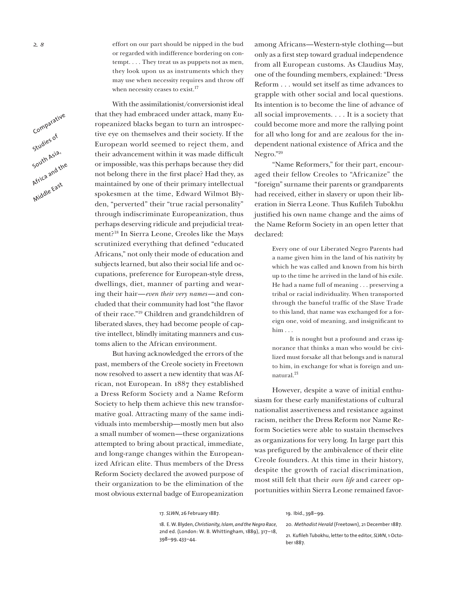Comparative Studies of South Asia, Africa and the Middle East

effort on our part should be nipped in the bud or regarded with indifference bordering on contempt. . . . They treat us as puppets not as men, they look upon us as instruments which they may use when necessity requires and throw off when necessity ceases to exist.<sup>17</sup>

With the assimilationist/conversionist ideal that they had embraced under attack, many Europeanized blacks began to turn an introspective eye on themselves and their society. If the European world seemed to reject them, and their advancement within it was made difficult or impossible, was this perhaps because they did not belong there in the first place? Had they, as maintained by one of their primary intellectual spokesmen at the time, Edward Wilmot Blyden, "perverted" their "true racial personality" through indiscriminate Europeanization, thus perhaps deserving ridicule and prejudicial treatment?18 In Sierra Leone, Creoles like the Mays scrutinized everything that defined "educated Africans," not only their mode of education and subjects learned, but also their social life and occupations, preference for European-style dress, dwellings, diet, manner of parting and wearing their hair—*even their very names* — and concluded that their community had lost "the flavor of their race."19 Children and grandchildren of liberated slaves, they had become people of captive intellect, blindly imitating manners and customs alien to the African environment.

But having acknowledged the errors of the past, members of the Creole society in Freetown now resolved to assert a new identity that was African, not European. In 1887 they established a Dress Reform Society and a Name Reform Society to help them achieve this new transformative goal. Attracting many of the same individuals into membership—mostly men but also a small number of women—these organizations attempted to bring about practical, immediate, and long-range changes within the Europeanized African elite. Thus members of the Dress Reform Society declared the avowed purpose of their organization to be the elimination of the most obvious external badge of Europeanization

among Africans—Western-style clothing—but only as a first step toward gradual independence from all European customs. As Claudius May, one of the founding members, explained: "Dress Reform . . . would set itself as time advances to grapple with other social and local questions. Its intention is to become the line of advance of all social improvements. . . . It is a society that could become more and more the rallying point for all who long for and are zealous for the independent national existence of Africa and the Negro."20

"Name Reformers," for their part, encouraged their fellow Creoles to "Africanize" the "foreign" surname their parents or grandparents had received, either in slavery or upon their liberation in Sierra Leone. Thus Kufileh Tubokhu justified his own name change and the aims of the Name Reform Society in an open letter that declared:

> Every one of our Liberated Negro Parents had a name given him in the land of his nativity by which he was called and known from his birth up to the time he arrived in the land of his exile. He had a name full of meaning . . . preserving a tribal or racial individuality. When transported through the baneful traffic of the Slave Trade to this land, that name was exchanged for a foreign one, void of meaning, and insignificant to him . . .

> It is nought but a profound and crass ignorance that thinks a man who would be civilized must forsake all that belongs and is natural to him, in exchange for what is foreign and unnatural.<sup>21</sup>

However, despite a wave of initial enthusiasm for these early manifestations of cultural nationalist assertiveness and resistance against racism, neither the Dress Reform nor Name Reform Societies were able to sustain themselves as organizations for very long. In large part this was prefigured by the ambivalence of their elite Creole founders. At this time in their history, despite the growth of racial discrimination, most still felt that their *own life* and career opportunities within Sierra Leone remained favor-

17. *SLWN*, 26 February 1887.

18. E.W. Blyden, *Christianity, Islam, and the Negro Race*, 2nd ed. (London: W. B. Whittingham, 1889), 317-18, 398  –  99, 433  –  44.

19. Ibid., 398-99.

<sup>20.</sup> *Methodist Herald* (Freetown), 21 December 1887.

<sup>21.</sup> Kufileh Tubokhu, letter to the editor, *SLWN*, 1 October 1887.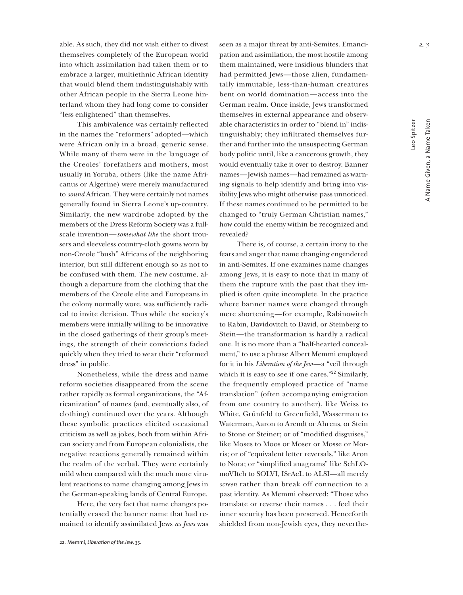able. As such, they did not wish either to divest themselves completely of the European world into which assimilation had taken them or to embrace a larger, multiethnic African identity that would blend them indistinguishably with other African people in the Sierra Leone hinterland whom they had long come to consider "less enlightened" than themselves.

This ambivalence was certainly reflected in the names the "reformers" adopted—which were African only in a broad, generic sense. While many of them were in the language of the Creoles' forefathers and mothers, most usually in Yoruba, others (like the name Africanus or Algerine) were merely manufactured to *sound* African. They were certainly not names generally found in Sierra Leone's up-country. Similarly, the new wardrobe adopted by the members of the Dress Reform Society was a fullscale invention—*somewhat like* the short trousers and sleeveless country-cloth gowns worn by non-Creole "bush" Africans of the neighboring interior, but still different enough so as not to be confused with them. The new costume, although a departure from the clothing that the members of the Creole elite and Europeans in the colony normally wore, was sufficiently radical to invite derision. Thus while the society's members were initially willing to be innovative in the closed gatherings of their group's meetings, the strength of their convictions faded quickly when they tried to wear their "reformed dress" in public.

Nonetheless, while the dress and name reform societies disappeared from the scene rather rapidly as formal organizations, the "Africanization" of names (and, eventually also, of clothing) continued over the years. Although these symbolic practices elicited occasional criticism as well as jokes, both from within African society and from European colonialists, the negative reactions generally remained within the realm of the verbal. They were certainly mild when compared with the much more virulent reactions to name changing among Jews in the German-speaking lands of Central Europe.

Here, the very fact that name changes potentially erased the banner name that had remained to identify assimilated Jews *as Jews* was

seen as a major threat by anti-Semites. Emancipation and assimilation, the most hostile among them maintained, were insidious blunders that had permitted Jews—those alien, fundamentally immutable, less-than-human creatures bent on world domination—access into the German realm. Once inside, Jews transformed themselves in external appearance and observable characteristics in order to "blend in" indistinguishably; they infiltrated themselves further and further into the unsuspecting German body politic until, like a cancerous growth, they would eventually take it over to destroy. Banner names — Jewish names — had remained as warning signals to help identify and bring into visibility Jews who might otherwise pass unnoticed. If these names continued to be permitted to be changed to "truly German Christian names," how could the enemy within be recognized and revealed?

There is, of course, a certain irony to the fears and anger that name changing engendered in anti-Semites. If one examines name changes among Jews, it is easy to note that in many of them the rupture with the past that they implied is often quite incomplete. In the practice where banner names were changed through mere shortening—for example, Rabinowitch to Rabin, Davidovitch to David, or Steinberg to Stein—the transformation is hardly a radical one. It is no more than a "half-hearted concealment," to use a phrase Albert Memmi employed for it in his *Liberation of the Jew*—a "veil through which it is easy to see if one cares."22 Similarly, the frequently employed practice of "name translation" (often accompanying emigration from one country to another), like Weiss to White, Grünfeld to Greenfield, Wasserman to Waterman, Aaron to Arendt or Ahrens, or Stein to Stone or Steiner; or of "modified disguises," like Moses to Moos or Moser or Mosse or Morris; or of "equivalent letter reversals," like Aron to Nora; or "simplified anagrams" like SchLOmoVItch to SOLVI, ISrAeL to ALSI—all merely *screen* rather than break off connection to a past identity. As Memmi observed: "Those who translate or reverse their names . . . feel their inner security has been preserved. Henceforth shielded from non-Jewish eyes, they nevertheLeo Spitzer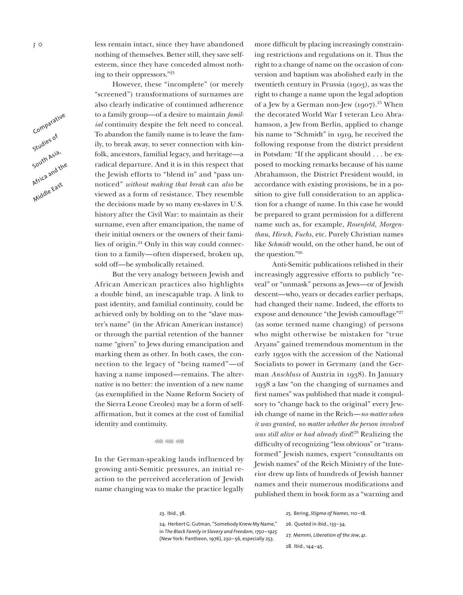Comparative Studies of South Asia, Africa and the Middle East

less remain intact, since they have abandoned nothing of themselves. Better still, they save selfesteem, since they have conceded almost nothing to their oppressors."23

However, these "incomplete" (or merely "screened") transformations of surnames are also clearly indicative of continued adherence to a family group—of a desire to maintain *familial* continuity despite the felt need to conceal. To abandon the family name is to leave the family, to break away, to sever connection with kinfolk, ancestors, familial legacy, and heritage—a radical departure. And it is in this respect that the Jewish efforts to "blend in" and "pass unnoticed" *without making that break* can *also* be viewed as a form of resistance. They resemble the decisions made by so many ex-slaves in U.S. history after the Civil War: to maintain as their surname, even after emancipation, the name of their initial owners or the owners of their families of origin.24 Only in this way could connection to a family—often dispersed, broken up, sold off—be symbolically retained.

But the very analogy between Jewish and African American practices also highlights a double bind, an inescapable trap. A link to past identity, and familial continuity, could be achieved only by holding on to the "slave master's name" (in the African American instance) or through the partial retention of the banner name "given" to Jews during emancipation and marking them as other. In both cases, the connection to the legacy of "being named"—of having a name imposed—remains. The alternative is no better: the invention of a new name (as exemplified in the Name Reform Society of the Sierra Leone Creoles) may be a form of selfaffirmation, but it comes at the cost of familial identity and continuity.

#### $-$

In the German-speaking lands influenced by growing anti-Semitic pressures, an initial reaction to the perceived acceleration of Jewish name changing was to make the practice legally

more difficult by placing increasingly constraining restrictions and regulations on it. Thus the right to a change of name on the occasion of conversion and baptism was abolished early in the twentieth century in Prussia (1903), as was the right to change a name upon the legal adoption of a Jew by a German non-Jew (1907).<sup>25</sup> When the decorated World War I veteran Leo Abrahamson, a Jew from Berlin, applied to change his name to "Schmidt" in 1919, he received the following response from the district president in Potsdam: "If the applicant should . . . be exposed to mocking remarks because of his name Abrahamson, the District President would, in accordance with existing provisions, be in a position to give full consideration to an application for a change of name. In this case he would be prepared to grant permission for a different name such as, for example, *Rosenfeld*, *Morgenthau*, *Hirsch*, *Fuchs*, etc. Purely Christian names like *Schmidt* would, on the other hand, be out of the question."26

Anti-Semitic publications relished in their increasingly aggressive efforts to publicly "reveal" or "unmask" persons as Jews—or of Jewish descent—who, years or decades earlier perhaps, had changed their name. Indeed, the efforts to expose and denounce "the Jewish camouflage"27 (as some termed name changing) of persons who might otherwise be mistaken for "true Aryans" gained tremendous momentum in the early 1930s with the accession of the National Socialists to power in Germany (and the German *Anschluss* of Austria in 1938). In January 1938 a law "on the changing of surnames and first names" was published that made it compulsory to "change back to the original" every Jewish change of name in the Reich—*no matter when it was granted, no matter whether the person involved was still alive or had already died*! 28 Realizing the difficulty of recognizing "less obvious" or "transformed" Jewish names, expert "consultants on Jewish names" of the Reich Ministry of the Interior drew up lists of hundreds of Jewish banner names and their numerous modifications and published them in book form as a "warning and

23. Ibid., 38.

24. Herbert G. Gutman, "Somebody Knew My Name," in *The Black Family in Slavery and Freedom, 1750  –  1925* (New York: Pantheon, 1976), 230-56, especially 253.

25. Bering, *Stigma of Names*, 110  –  18.

26. Quoted in ibid., 133  –  34.

- 27. Memmi, *Liberation of the Jew*, 41.
- 28. Ibid., 144  –  45.